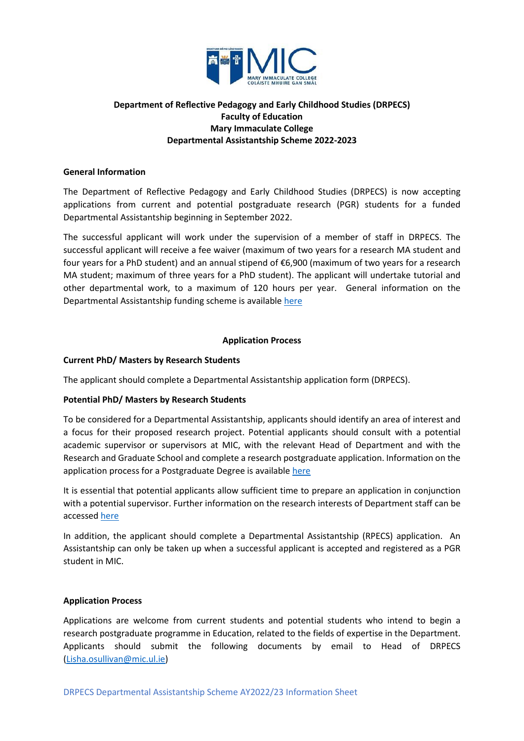

# **Department of Reflective Pedagogy and Early Childhood Studies (DRPECS) Faculty of Education Mary Immaculate College Departmental Assistantship Scheme 2022-2023**

## **General Information**

The Department of Reflective Pedagogy and Early Childhood Studies (DRPECS) is now accepting applications from current and potential postgraduate research (PGR) students for a funded Departmental Assistantship beginning in September 2022.

The successful applicant will work under the supervision of a member of staff in DRPECS. The successful applicant will receive a fee waiver (maximum of two years for a research MA student and four years for a PhD student) and an annual stipend of €6,900 (maximum of two years for a research MA student; maximum of three years for a PhD student). The applicant will undertake tutorial and other departmental work, to a maximum of 120 hours per year. General information on the Departmental Assistantship funding scheme is available [here](https://www.mic.ul.ie/research/research-graduate-school/supports/scholarships-funding-fees?index=0)

## **Application Process**

## **Current PhD/ Masters by Research Students**

The applicant should complete a Departmental Assistantship application form (DRPECS).

#### **Potential PhD/ Masters by Research Students**

To be considered for a Departmental Assistantship, applicants should identify an area of interest and a focus for their proposed research project. Potential applicants should consult with a potential academic supervisor or supervisors at MIC, with the relevant Head of Department and with the Research and Graduate School and complete a research postgraduate application. Information on the application process for a Postgraduate Degree is available [here](https://www.mic.ul.ie/research/research-graduate-school/supports/how-to-apply?index=0) 

It is essential that potential applicants allow sufficient time to prepare an application in conjunction with a potential supervisor. Further information on the research interests of Department staff can be accessed [here](https://www.mic.ul.ie/damh-an-oideachais/department/reflective-pedagogy-early-childhood-studies?index=2)

In addition, the applicant should complete a Departmental Assistantship (RPECS) application. An Assistantship can only be taken up when a successful applicant is accepted and registered as a PGR student in MIC.

#### **Application Process**

Applications are welcome from current students and potential students who intend to begin a research postgraduate programme in Education, related to the fields of expertise in the Department. Applicants should submit the following documents by email to Head of DRPECS [\(Lisha.osullivan@mic.ul.ie\)](mailto:Lisha.osullivan@mic.ul.ie)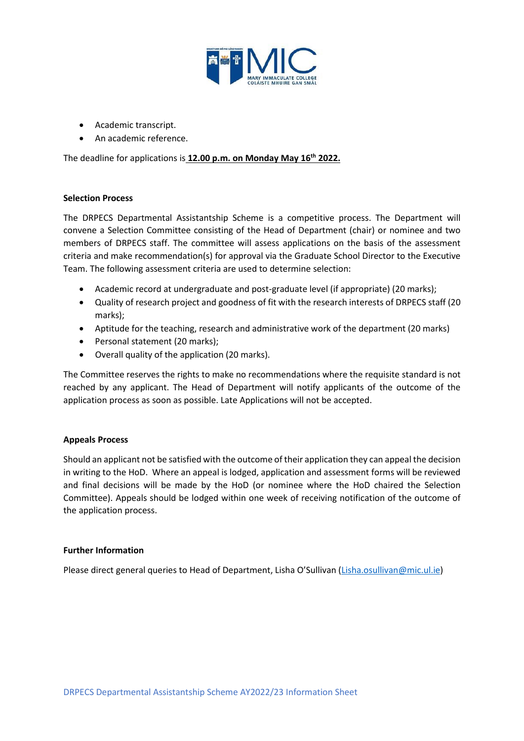

- Academic transcript.
- An academic reference.

The deadline for applications is **12.00 p.m. on Monday May 16th 2022.**

## **Selection Process**

The DRPECS Departmental Assistantship Scheme is a competitive process. The Department will convene a Selection Committee consisting of the Head of Department (chair) or nominee and two members of DRPECS staff. The committee will assess applications on the basis of the assessment criteria and make recommendation(s) for approval via the Graduate School Director to the Executive Team. The following assessment criteria are used to determine selection:

- Academic record at undergraduate and post-graduate level (if appropriate) (20 marks);
- Quality of research project and goodness of fit with the research interests of DRPECS staff (20 marks);
- Aptitude for the teaching, research and administrative work of the department (20 marks)
- Personal statement (20 marks);
- Overall quality of the application (20 marks).

The Committee reserves the rights to make no recommendations where the requisite standard is not reached by any applicant. The Head of Department will notify applicants of the outcome of the application process as soon as possible. Late Applications will not be accepted.

# **Appeals Process**

Should an applicant not be satisfied with the outcome of their application they can appeal the decision in writing to the HoD. Where an appeal is lodged, application and assessment forms will be reviewed and final decisions will be made by the HoD (or nominee where the HoD chaired the Selection Committee). Appeals should be lodged within one week of receiving notification of the outcome of the application process.

#### **Further Information**

Please direct general queries to Head of Department, Lisha O'Sullivan [\(Lisha.osullivan@mic.ul.ie\)](mailto:Lisha.osullivan@mic.ul.ie)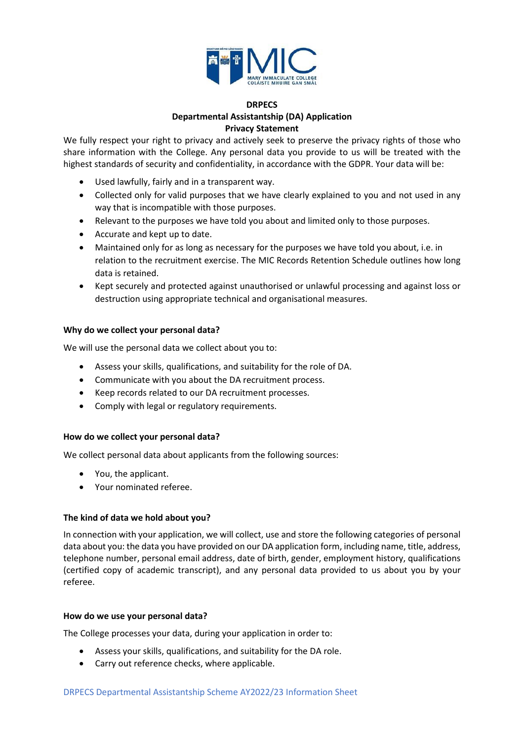

# **DRPECS Departmental Assistantship (DA) Application Privacy Statement**

We fully respect your right to privacy and actively seek to preserve the privacy rights of those who share information with the College. Any personal data you provide to us will be treated with the highest standards of security and confidentiality, in accordance with the GDPR. Your data will be:

- Used lawfully, fairly and in a transparent way.
- Collected only for valid purposes that we have clearly explained to you and not used in any way that is incompatible with those purposes.
- Relevant to the purposes we have told you about and limited only to those purposes.
- Accurate and kept up to date.
- Maintained only for as long as necessary for the purposes we have told you about, i.e. in relation to the recruitment exercise. The MIC Records Retention Schedule outlines how long data is retained.
- Kept securely and protected against unauthorised or unlawful processing and against loss or destruction using appropriate technical and organisational measures.

#### **Why do we collect your personal data?**

We will use the personal data we collect about you to:

- Assess your skills, qualifications, and suitability for the role of DA.
- Communicate with you about the DA recruitment process.
- Keep records related to our DA recruitment processes.
- Comply with legal or regulatory requirements.

#### **How do we collect your personal data?**

We collect personal data about applicants from the following sources:

- You, the applicant.
- Your nominated referee.

#### **The kind of data we hold about you?**

In connection with your application, we will collect, use and store the following categories of personal data about you: the data you have provided on our DA application form, including name, title, address, telephone number, personal email address, date of birth, gender, employment history, qualifications (certified copy of academic transcript), and any personal data provided to us about you by your referee.

#### **How do we use your personal data?**

The College processes your data, during your application in order to:

- Assess your skills, qualifications, and suitability for the DA role.
- Carry out reference checks, where applicable.